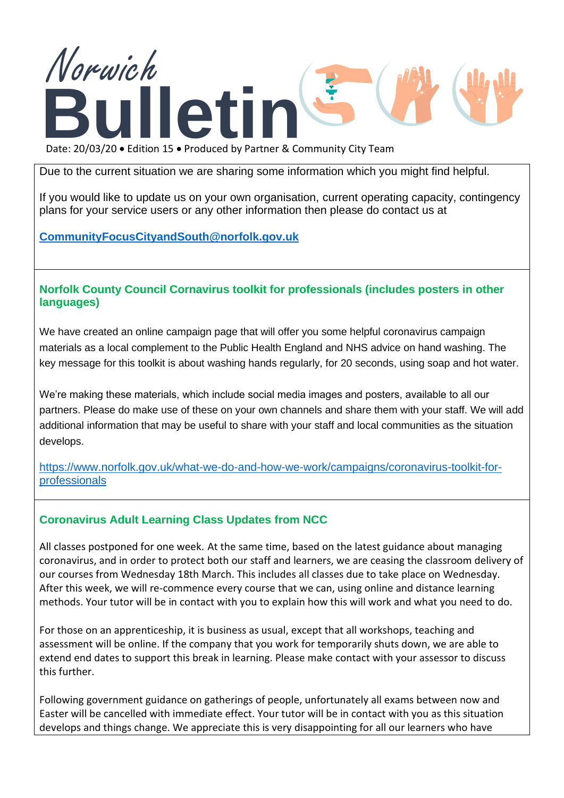

Date: 20/03/20 • Edition 15 • Produced by Partner & Community City Team

Due to the current situation we are sharing some information which you might find helpful.

If you would like to update us on your own organisation, current operating capacity, contingency plans for your service users or any other information then please do contact us at

**[CommunityFocusCityandSouth@norfolk.gov.uk](mailto:CommunityFocusCityandSouth@norfolk.gov.uk)**

#### **Norfolk County Council Cornavirus toolkit for professionals (includes posters in other languages)**

We have created an online campaign page that will offer you some helpful coronavirus campaign materials as a local complement to the Public Health England and NHS advice on hand washing. The key message for this toolkit is about washing hands regularly, for 20 seconds, using soap and hot water.

We're making these materials, which include social media images and posters, available to all our partners. Please do make use of these on your own channels and share them with your staff. We will add additional information that may be useful to share with your staff and local communities as the situation develops.

[https://www.norfolk.gov.uk/what-we-do-and-how-we-work/campaigns/coronavirus-toolkit-for](https://www.norfolk.gov.uk/what-we-do-and-how-we-work/campaigns/coronavirus-toolkit-for-professionals)[professionals](https://www.norfolk.gov.uk/what-we-do-and-how-we-work/campaigns/coronavirus-toolkit-for-professionals)

#### **Coronavirus Adult Learning Class Updates from NCC**

All classes postponed for one week. At the same time, based on the latest guidance about managing coronavirus, and in order to protect both our staff and learners, we are ceasing the classroom delivery of our courses from Wednesday 18th March. This includes all classes due to take place on Wednesday. After this week, we will re-commence every course that we can, using online and distance learning methods. Your tutor will be in contact with you to explain how this will work and what you need to do.

For those on an apprenticeship, it is business as usual, except that all workshops, teaching and assessment will be online. If the company that you work for temporarily shuts down, we are able to extend end dates to support this break in learning. Please make contact with your assessor to discuss this further.

Following government guidance on gatherings of people, unfortunately all exams between now and Easter will be cancelled with immediate effect. Your tutor will be in contact with you as this situation develops and things change. We appreciate this is very disappointing for all our learners who have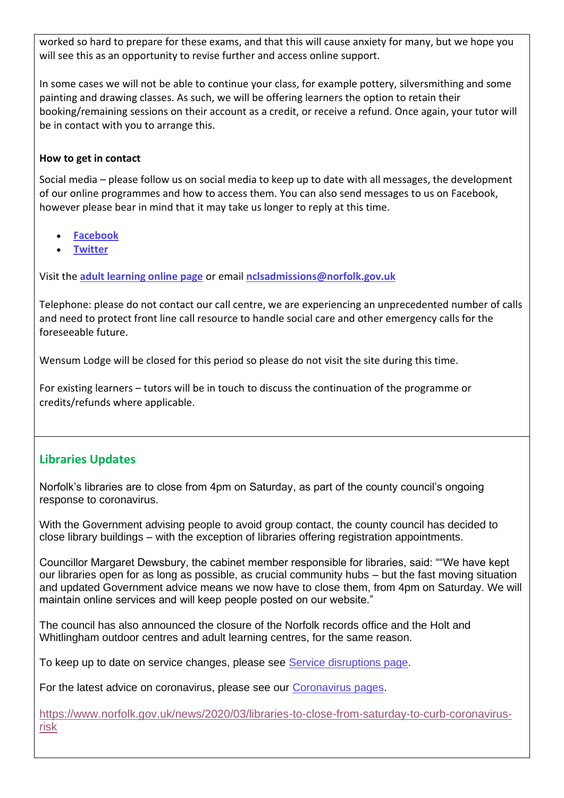worked so hard to prepare for these exams, and that this will cause anxiety for many, but we hope you will see this as an opportunity to revise further and access online support.

In some cases we will not be able to continue your class, for example pottery, silversmithing and some painting and drawing classes. As such, we will be offering learners the option to retain their booking/remaining sessions on their account as a credit, or receive a refund. Once again, your tutor will be in contact with you to arrange this.

#### **How to get in contact**

Social media – please follow us on social media to keep up to date with all messages, the development of our online programmes and how to access them. You can also send messages to us on Facebook, however please bear in mind that it may take us longer to reply at this time.

- **[Facebook](https://www.facebook.com/Adult-Education-Norfolk-141682545931459/timeline/)**
- **[Twitter](https://twitter.com/home)**

Visit the **[adult learning online page](https://www.norfolk.gov.uk/education-and-learning/adult-learning)** or email **[nclsadmissions@norfolk.gov.uk](mailto:nclsadmissions@norfolk.gov.uk)**

Telephone: please do not contact our call centre, we are experiencing an unprecedented number of calls and need to protect front line call resource to handle social care and other emergency calls for the foreseeable future.

Wensum Lodge will be closed for this period so please do not visit the site during this time.

For existing learners – tutors will be in touch to discuss the continuation of the programme or credits/refunds where applicable.

# **Libraries Updates**

Norfolk's libraries are to close from 4pm on Saturday, as part of the county council's ongoing response to coronavirus.

With the Government advising people to avoid group contact, the county council has decided to close library buildings – with the exception of libraries offering registration appointments.

Councillor Margaret Dewsbury, the cabinet member responsible for libraries, said: ""We have kept our libraries open for as long as possible, as crucial community hubs – but the fast moving situation and updated Government advice means we now have to close them, from 4pm on Saturday. We will maintain online services and will keep people posted on our website."

The council has also announced the closure of the Norfolk records office and the Holt and Whitlingham outdoor centres and adult learning centres, for the same reason.

To keep up to date on service changes, please see [Service disruptions page.](https://www.norfolk.gov.uk/safety/service-disruptions)

For the latest advice on coronavirus, please see our [Coronavirus pages.](https://www.norfolk.gov.uk/care-support-and-health/health-and-wellbeing/adults-health/coronavirus)

[https://www.norfolk.gov.uk/news/2020/03/libraries-to-close-from-saturday-to-curb-coronavirus](https://www.norfolk.gov.uk/news/2020/03/libraries-to-close-from-saturday-to-curb-coronavirus-risk)[risk](https://www.norfolk.gov.uk/news/2020/03/libraries-to-close-from-saturday-to-curb-coronavirus-risk)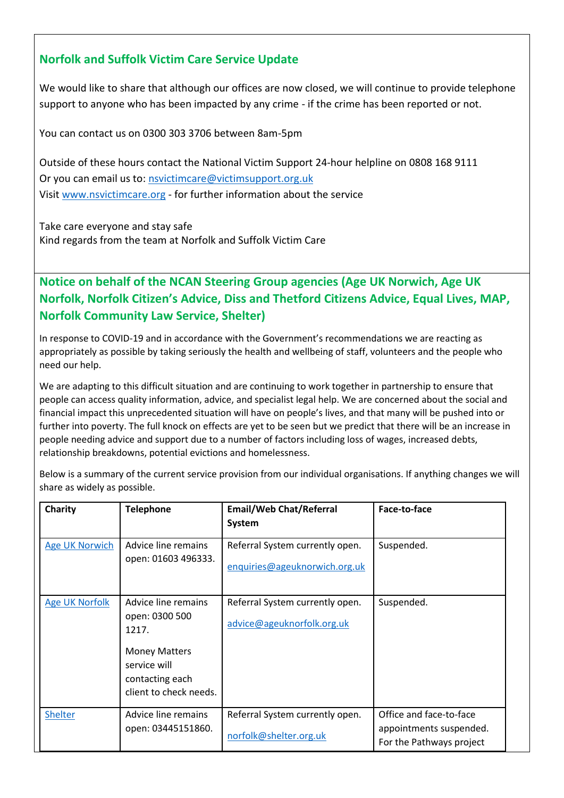# **Norfolk and Suffolk Victim Care Service Update**

We would like to share that although our offices are now closed, we will continue to provide telephone support to anyone who has been impacted by any crime - if the crime has been reported or not.

You can contact us on 0300 303 3706 between 8am-5pm

Outside of these hours contact the National Victim Support 24-hour helpline on 0808 168 9111 Or you can email us to: [nsvictimcare@victimsupport.org.uk](mailto:nsvictimcare@victimsupport.org.uk) Visit [www.nsvictimcare.org](http://www.nsvictimcare.org/) - for further information about the service

Take care everyone and stay safe Kind regards from the team at Norfolk and Suffolk Victim Care

**Notice on behalf of the NCAN Steering Group agencies (Age UK Norwich, Age UK Norfolk, Norfolk Citizen's Advice, Diss and Thetford Citizens Advice, Equal Lives, MAP, Norfolk Community Law Service, Shelter)**

In response to COVID-19 and in accordance with the Government's recommendations we are reacting as appropriately as possible by taking seriously the health and wellbeing of staff, volunteers and the people who need our help.

We are adapting to this difficult situation and are continuing to work together in partnership to ensure that people can access quality information, advice, and specialist legal help. We are concerned about the social and financial impact this unprecedented situation will have on people's lives, and that many will be pushed into or further into poverty. The full knock on effects are yet to be seen but we predict that there will be an increase in people needing advice and support due to a number of factors including loss of wages, increased debts, relationship breakdowns, potential evictions and homelessness.

Below is a summary of the current service provision from our individual organisations. If anything changes we will share as widely as possible.

| Charity               | <b>Telephone</b>                                                                                                                    | <b>Email/Web Chat/Referral</b><br>System                         | Face-to-face                                                                   |
|-----------------------|-------------------------------------------------------------------------------------------------------------------------------------|------------------------------------------------------------------|--------------------------------------------------------------------------------|
| <b>Age UK Norwich</b> | Advice line remains<br>open: 01603 496333.                                                                                          | Referral System currently open.<br>enquiries@ageuknorwich.org.uk | Suspended.                                                                     |
| <b>Age UK Norfolk</b> | Advice line remains<br>open: 0300 500<br>1217.<br><b>Money Matters</b><br>service will<br>contacting each<br>client to check needs. | Referral System currently open.<br>advice@ageuknorfolk.org.uk    | Suspended.                                                                     |
| Shelter               | Advice line remains<br>open: 03445151860.                                                                                           | Referral System currently open.<br>norfolk@shelter.org.uk        | Office and face-to-face<br>appointments suspended.<br>For the Pathways project |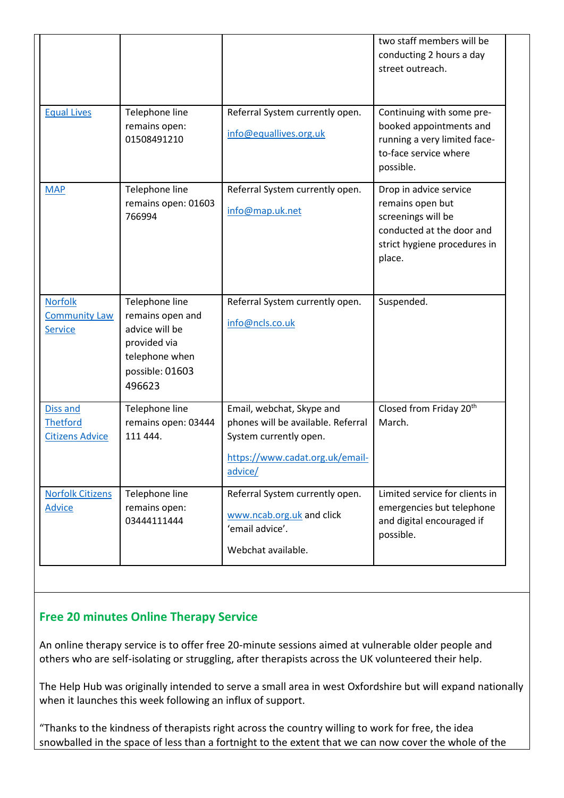|                                                       |                                                                                                                     |                                                                                                                                         | two staff members will be<br>conducting 2 hours a day<br>street outreach.                                                               |
|-------------------------------------------------------|---------------------------------------------------------------------------------------------------------------------|-----------------------------------------------------------------------------------------------------------------------------------------|-----------------------------------------------------------------------------------------------------------------------------------------|
| <b>Equal Lives</b>                                    | Telephone line<br>remains open:<br>01508491210                                                                      | Referral System currently open.<br>info@equallives.org.uk                                                                               | Continuing with some pre-<br>booked appointments and<br>running a very limited face-<br>to-face service where<br>possible.              |
| <b>MAP</b>                                            | Telephone line<br>remains open: 01603<br>766994                                                                     | Referral System currently open.<br>info@map.uk.net                                                                                      | Drop in advice service<br>remains open but<br>screenings will be<br>conducted at the door and<br>strict hygiene procedures in<br>place. |
| <b>Norfolk</b><br><b>Community Law</b><br>Service     | Telephone line<br>remains open and<br>advice will be<br>provided via<br>telephone when<br>possible: 01603<br>496623 | Referral System currently open.<br>info@ncls.co.uk                                                                                      | Suspended.                                                                                                                              |
| Diss and<br><b>Thetford</b><br><b>Citizens Advice</b> | Telephone line<br>remains open: 03444<br>111 444.                                                                   | Email, webchat, Skype and<br>phones will be available. Referral<br>System currently open.<br>https://www.cadat.org.uk/email-<br>advice/ | Closed from Friday 20th<br>March.                                                                                                       |
| <b>Norfolk Citizens</b><br><b>Advice</b>              | Telephone line<br>remains open:<br>03444111444                                                                      | Referral System currently open.<br>www.ncab.org.uk and click<br>'email advice'.<br>Webchat available.                                   | Limited service for clients in<br>emergencies but telephone<br>and digital encouraged if<br>possible.                                   |

# **Free 20 minutes Online Therapy Service**

An online therapy service is to offer free 20-minute sessions aimed at vulnerable older people and others who are self-isolating or struggling, after therapists across the UK volunteered their help.

The Help Hub was originally intended to serve a small area in west Oxfordshire but will expand nationally when it launches this week following an influx of support.

"Thanks to the kindness of therapists right across the country willing to work for free, the idea snowballed in the space of less than a fortnight to the extent that we can now cover the whole of the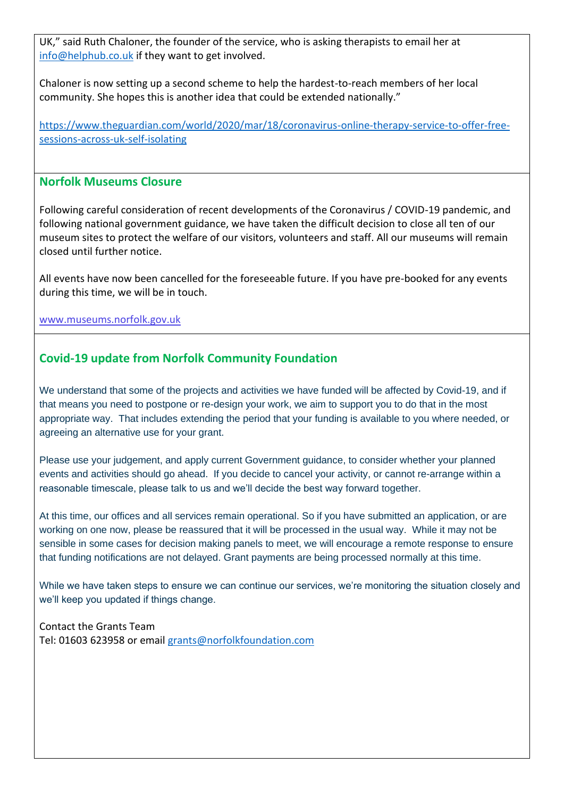UK," said Ruth Chaloner, the founder of the service, who is asking therapists to email her at [info@helphub.co.uk](mailto:info@helphub.co.uk) if they want to get involved.

Chaloner is now setting up a second scheme to help the hardest-to-reach members of her local community. She hopes this is another idea that could be extended nationally."

[https://www.theguardian.com/world/2020/mar/18/coronavirus-online-therapy-service-to-offer-free](https://www.theguardian.com/world/2020/mar/18/coronavirus-online-therapy-service-to-offer-free-sessions-across-uk-self-isolating)[sessions-across-uk-self-isolating](https://www.theguardian.com/world/2020/mar/18/coronavirus-online-therapy-service-to-offer-free-sessions-across-uk-self-isolating)

#### **Norfolk Museums Closure**

Following careful consideration of recent developments of the Coronavirus / COVID-19 pandemic, and following national government guidance, we have taken the difficult decision to close all ten of our museum sites to protect the welfare of our visitors, volunteers and staff. All our museums will remain closed until further notice.

All events have now been cancelled for the foreseeable future. If you have pre-booked for any events during this time, we will be in touch.

[www.museums.norfolk.gov.uk](https://www.norfolk.gov.uk/sitecore%20modules/Web/EXM/RedirectUrlPage.aspx?ec_eq=6l%2fTQQ6n9e7uwRaboGYn5gclY9i5E08WwseItG%2bgOyVPxp7AyMvfLqtLVultTOF%2bbVkekJsAicyp6BnbULkMMTGZpHN3%2fygpUbCB4U3%2f3Y14lobkAeeX07BBOVC1MCr%2f7nFqdatexusuAxUT6R1NY3j9gl5r9bu4S6uvgJ4bhu2NvGNBHM14HB5EVq6NelYzPnMqGjUbqIn1PMQhGRtjydmNxYazudadU2Ir0M8Qp1qSmZmqXe4oDx7d8i7A2OpXrKWJ%2bqzG73NxAcQUl5qMaw8zVQObDgly%2bhSMhZwfVGxFsowge9ZgyhHN0HzMC09hIkttBJSQryY5bTp56u8WzQ%3d%3d)

# **Covid-19 update from Norfolk Community Foundation**

We understand that some of the projects and activities we have funded will be affected by Covid-19, and if that means you need to postpone or re-design your work, we aim to support you to do that in the most appropriate way. That includes extending the period that your funding is available to you where needed, or agreeing an alternative use for your grant.

Please use your judgement, and apply current Government guidance, to consider whether your planned events and activities should go ahead. If you decide to cancel your activity, or cannot re-arrange within a reasonable timescale, please talk to us and we'll decide the best way forward together.

At this time, our offices and all services remain operational. So if you have submitted an application, or are working on one now, please be reassured that it will be processed in the usual way. While it may not be sensible in some cases for decision making panels to meet, we will encourage a remote response to ensure that funding notifications are not delayed. Grant payments are being processed normally at this time.

While we have taken steps to ensure we can continue our services, we're monitoring the situation closely and we'll keep you updated if things change.

Contact the Grants Team Tel: 01603 623958 or email [grants@norfolkfoundation.com](mailto:grants@norfolkfoundation.com)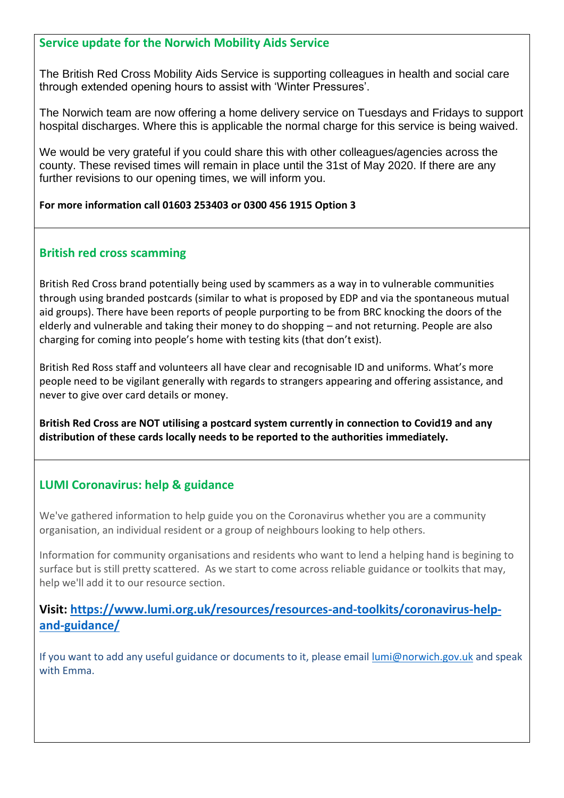#### **Service update for the Norwich Mobility Aids Service**

The British Red Cross Mobility Aids Service is supporting colleagues in health and social care through extended opening hours to assist with 'Winter Pressures'.

The Norwich team are now offering a home delivery service on Tuesdays and Fridays to support hospital discharges. Where this is applicable the normal charge for this service is being waived.

We would be very grateful if you could share this with other colleagues/agencies across the county. These revised times will remain in place until the 31st of May 2020. If there are any further revisions to our opening times, we will inform you.

#### **For more information call 01603 253403 or 0300 456 1915 Option 3**

#### **British red cross scamming**

British Red Cross brand potentially being used by scammers as a way in to vulnerable communities through using branded postcards (similar to what is proposed by EDP and via the spontaneous mutual aid groups). There have been reports of people purporting to be from BRC knocking the doors of the elderly and vulnerable and taking their money to do shopping – and not returning. People are also charging for coming into people's home with testing kits (that don't exist).

British Red Ross staff and volunteers all have clear and recognisable ID and uniforms. What's more people need to be vigilant generally with regards to strangers appearing and offering assistance, and never to give over card details or money.

**British Red Cross are NOT utilising a postcard system currently in connection to Covid19 and any distribution of these cards locally needs to be reported to the authorities immediately.** 

# **LUMI Coronavirus: help & guidance**

We've gathered information to help guide you on the Coronavirus whether you are a community organisation, an individual resident or a group of neighbours looking to help others.

Information for community organisations and residents who want to lend a helping hand is begining to surface but is still pretty scattered. As we start to come across reliable guidance or toolkits that may, help we'll add it to our resource section.

# **Visit: [https://www.lumi.org.uk/resources/resources-and-toolkits/coronavirus-help](https://www.lumi.org.uk/resources/resources-and-toolkits/coronavirus-help-and-guidance/)[and-guidance/](https://www.lumi.org.uk/resources/resources-and-toolkits/coronavirus-help-and-guidance/)**

If you want to add any useful guidance or documents to it, please email [lumi@norwich.gov.uk](mailto:lumi@norwich.gov.uk) and speak with Emma.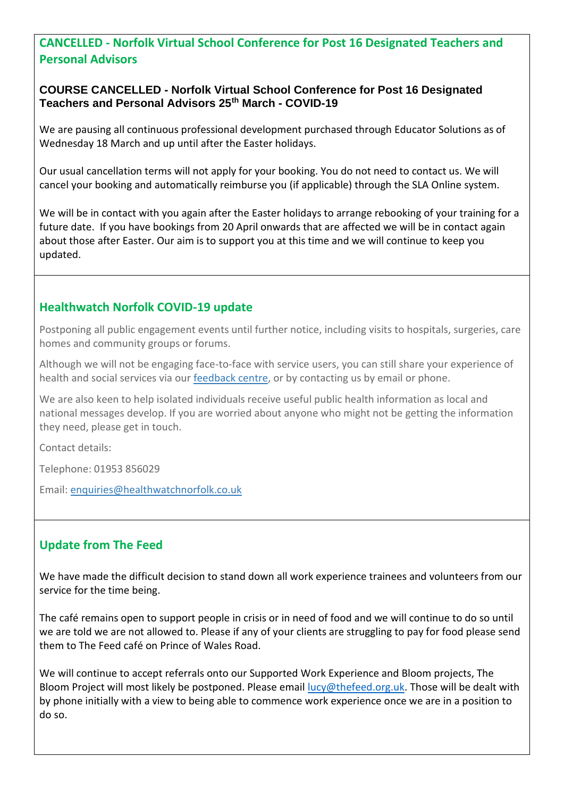# **CANCELLED - Norfolk Virtual School Conference for Post 16 Designated Teachers and Personal Advisors**

#### **COURSE CANCELLED - Norfolk Virtual School Conference for Post 16 Designated Teachers and Personal Advisors 25th March - COVID-19**

We are pausing all continuous professional development purchased through Educator Solutions as of Wednesday 18 March and up until after the Easter holidays.

Our usual cancellation terms will not apply for your booking. You do not need to contact us. We will cancel your booking and automatically reimburse you (if applicable) through the SLA Online system.

We will be in contact with you again after the Easter holidays to arrange rebooking of your training for a future date. If you have bookings from 20 April onwards that are affected we will be in contact again about those after Easter. Our aim is to support you at this time and we will continue to keep you updated.

#### **Healthwatch Norfolk COVID-19 update**

Postponing all public engagement events until further notice, including visits to hospitals, surgeries, care homes and community groups or forums.

Although we will not be engaging face-to-face with service users, you can still share your experience of health and social services via our [feedback centre,](https://healthwatchnorfolk.co.uk/services/) or by contacting us by email or phone.

We are also keen to help isolated individuals receive useful public health information as local and national messages develop. If you are worried about anyone who might not be getting the information they need, please get in touch.

Contact details:

Telephone: 01953 856029

Email: [enquiries@healthwatchnorfolk.co.uk](mailto:enquiries@healthwatchnorfolk.co.uk)

# **Update from The Feed**

We have made the difficult decision to stand down all work experience trainees and volunteers from our service for the time being.

The café remains open to support people in crisis or in need of food and we will continue to do so until we are told we are not allowed to. Please if any of your clients are struggling to pay for food please send them to The Feed café on Prince of Wales Road.

We will continue to accept referrals onto our Supported Work Experience and Bloom projects, The Bloom Project will most likely be postponed. Please email [lucy@thefeed.org.uk.](mailto:lucy@thefeed.org.uk) Those will be dealt with by phone initially with a view to being able to commence work experience once we are in a position to do so.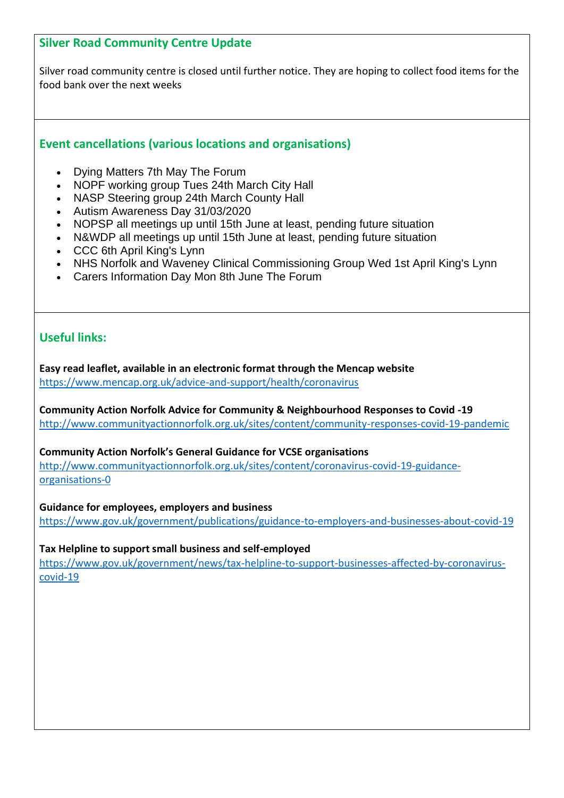# **Silver Road Community Centre Update**

Silver road community centre is closed until further notice. They are hoping to collect food items for the food bank over the next weeks

# **Event cancellations (various locations and organisations)**

- Dying Matters 7th May The Forum
- NOPF working group Tues 24th March City Hall
- NASP Steering group 24th March County Hall
- Autism Awareness Day 31/03/2020
- NOPSP all meetings up until 15th June at least, pending future situation
- N&WDP all meetings up until 15th June at least, pending future situation
- CCC 6th April King's Lynn
- NHS Norfolk and Waveney Clinical Commissioning Group Wed 1st April King's Lynn
- Carers Information Day Mon 8th June The Forum

# **Useful links:**

**Easy read leaflet, available in an electronic format through the Mencap website**  <https://www.mencap.org.uk/advice-and-support/health/coronavirus>

**Community Action Norfolk Advice for Community & Neighbourhood Responses to Covid -19** <http://www.communityactionnorfolk.org.uk/sites/content/community-responses-covid-19-pandemic>

#### **Community Action Norfolk's General Guidance for VCSE organisations**

[http://www.communityactionnorfolk.org.uk/sites/content/coronavirus-covid-19-guidance](http://www.communityactionnorfolk.org.uk/sites/content/coronavirus-covid-19-guidance-organisations-0)[organisations-0](http://www.communityactionnorfolk.org.uk/sites/content/coronavirus-covid-19-guidance-organisations-0)

#### **Guidance for employees, employers and business**

<https://www.gov.uk/government/publications/guidance-to-employers-and-businesses-about-covid-19>

#### **Tax Helpline to support small business and self-employed**

[https://www.gov.uk/government/news/tax-helpline-to-support-businesses-affected-by-coronavirus](https://www.gov.uk/government/news/tax-helpline-to-support-businesses-affected-by-coronavirus-covid-19)[covid-19](https://www.gov.uk/government/news/tax-helpline-to-support-businesses-affected-by-coronavirus-covid-19)